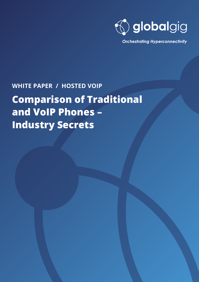

**Orchestrating Hyperconnectivity** 

## **WHITE PAPER / HOSTED VOIP**

# **Comparison of Traditional and VoIP Phones – Industry Secrets**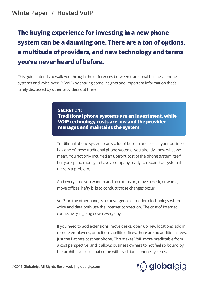## **White Paper / Hosted VoIP**

## **The buying experience for investing in a new phone system can be a daunting one. There are a ton of options, a multitude of providers, and new technology and terms you've never heard of before.**

This guide intends to walk you through the differences between traditional business phone systems and voice over IP (VoIP) by sharing some insights and important information that's rarely discussed by other providers out there.

> **SECRET #1: Traditional phone systems are an investment, while VOIP technology costs are low and the provider manages and maintains the system.**

Traditional phone systems carry a lot of burden and cost. If your business has one of these traditional phone systems, you already know what we mean. You not only incurred an upfront cost of the phone system itself, but you spend money to have a company ready to repair that system if there is a problem.

And every time you want to add an extension, move a desk, or worse, move offices, hefty bills to conduct those changes occur.

VoIP, on the other hand, is a convergence of modern technology where voice and data both use the Internet connection. The cost of Internet connectivity is going down every day.

If you need to add extensions, move desks, open up new locations, add in remote employees, or bolt on satellite offices, there are no additional fees. Just the flat rate cost per phone. This makes VoIP more predictable from a cost perspective, and it allows business owners to not feel so bound by the prohibitive costs that come with traditional phone systems.

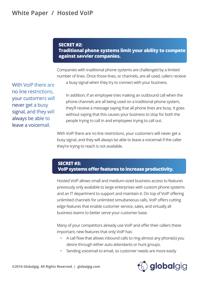#### **SECRET #2: Traditional phone systems limit your ability to compete against savvier companies.**

Companies with traditional phone systems are challenged by a limited number of lines. Once those lines, or channels, are all used, callers receive

With VoIP there are no line restrictions, your customers will never get a busy signal, and they will always be able to leave a voicemail.

a busy signal when they try to connect with your business.

In addition, if an employee tries making an outbound call when the phone channels are all being used on a traditional phone system, they'll receive a message saying that all phone lines are busy. It goes without saying that this causes your business to stop for both the people trying to call in and employees trying to call out.

With VoIP there are no line restrictions, your customers will never get a busy signal, and they will always be able to leave a voicemail if the caller they're trying to reach is not available.

#### **SECRET #3: VoIP systems offer features to increase productivity.**

Hosted VoIP allows small and medium-sized business access to features previously only available to large enterprises with custom phone systems and an IT department to support and maintain it. On top of VoIP offering unlimited channels for unlimited simultaneous calls, VoIP offers cutting edge features that enable customer service, sales, and virtually all business teams to better serve your customer base.

Many of your competitors already use VoIP and offer their callers these important, new features that only VoIP has:

- A call flow that allows inbound calls to ring almost any phone(s) you desire through either auto attendants or hunt groups.
- Sending voicemail to email, so customer needs are more easily

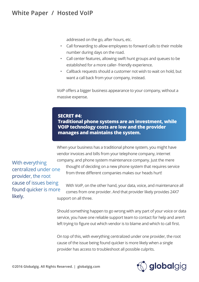## **White Paper / Hosted VoIP**

addressed on the go, after hours, etc.

- Call forwarding to allow employees to forward calls to their mobile number during days on the road.
- Call center features, allowing swift hunt groups and queues to be established for a more caller- friendly experience.
- Callback requests should a customer not wish to wait on hold, but want a call back from your company, instead.

VoIP offers a bigger business appearance to your company, without a massive expense.

#### **SECRET #4:**

**Traditional phone systems are an investment, while VOIP technology costs are low and the provider manages and maintains the system.**

When your business has a traditional phone system, you might have vendor invoices and bills from your telephone company, internet company, and phone system maintenance company. Just the mere thought of deciding on a new phone system that requires service from three different companies makes our heads hurt!

With everything centralized under one provider, the root cause of issues being found quicker is more likely.

With VoIP, on the other hand, your data, voice, and maintenance all comes from one provider. And that provider likely provides 24X7 support on all three.

Should something happen to go wrong with any part of your voice or data service, you have one reliable support team to contact for help and aren't left trying to figure out which vendor is to blame and which to call first.

On top of this, with everything centralized under one provider, the root cause of the issue being found quicker is more likely when a single provider has access to troubleshoot all possible culprits.

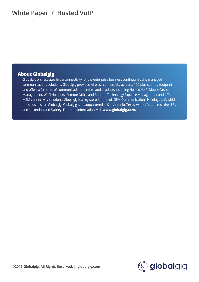## **White Paper / Hosted VoIP**

#### **About Globalgig**

Globalgig orchestrates hyperconnectivity for the enterprise business continuum using managed communications solutions. Globalgig provides wireless connectivity across a 100-plus country footprint and offers a full suite of communications services and products including Hosted VoIP, Mobile Device Management, Wi-Fi Hotspots, Remote Office and Backup, Technology Expense Management and IoT/ M2M connectivity solutions. Globalgig is a registered brand of iGEM Communications Holdings LLC, which does business as Globalgig. Globalgig is headquartered in San Antonio, Texas, with offices across the U.S., and in London and Sydney. For more information, visit **www.globalgig.com.**